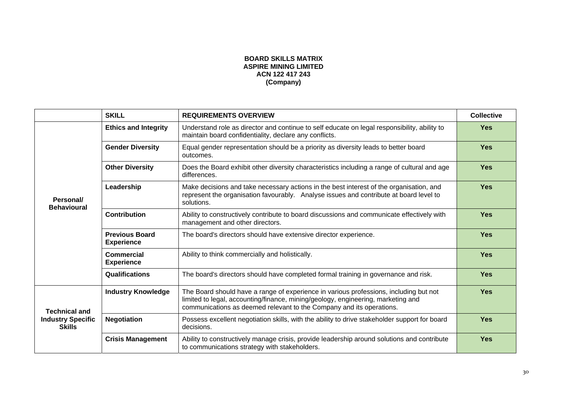## **BOARD SKILLS MATRIX ASPIRE MINING LIMITED** ACN 122 417 243 (Company)

|                                                                   | <b>SKILL</b>                               | <b>REQUIREMENTS OVERVIEW</b>                                                                                                                                                                                                                      | <b>Collective</b> |
|-------------------------------------------------------------------|--------------------------------------------|---------------------------------------------------------------------------------------------------------------------------------------------------------------------------------------------------------------------------------------------------|-------------------|
| Personal/<br><b>Behavioural</b>                                   | <b>Ethics and Integrity</b>                | Understand role as director and continue to self educate on legal responsibility, ability to<br>maintain board confidentiality, declare any conflicts.                                                                                            | <b>Yes</b>        |
|                                                                   | <b>Gender Diversity</b>                    | Equal gender representation should be a priority as diversity leads to better board<br>outcomes.                                                                                                                                                  | <b>Yes</b>        |
|                                                                   | <b>Other Diversity</b>                     | Does the Board exhibit other diversity characteristics including a range of cultural and age<br>differences.                                                                                                                                      | <b>Yes</b>        |
|                                                                   | Leadership                                 | Make decisions and take necessary actions in the best interest of the organisation, and<br>represent the organisation favourably. Analyse issues and contribute at board level to<br>solutions.                                                   | <b>Yes</b>        |
|                                                                   | <b>Contribution</b>                        | Ability to constructively contribute to board discussions and communicate effectively with<br>management and other directors.                                                                                                                     | <b>Yes</b>        |
|                                                                   | <b>Previous Board</b><br><b>Experience</b> | The board's directors should have extensive director experience.                                                                                                                                                                                  | <b>Yes</b>        |
|                                                                   | <b>Commercial</b><br><b>Experience</b>     | Ability to think commercially and holistically.                                                                                                                                                                                                   | <b>Yes</b>        |
|                                                                   | Qualifications                             | The board's directors should have completed formal training in governance and risk.                                                                                                                                                               | <b>Yes</b>        |
| <b>Technical and</b><br><b>Industry Specific</b><br><b>Skills</b> | <b>Industry Knowledge</b>                  | The Board should have a range of experience in various professions, including but not<br>limited to legal, accounting/finance, mining/geology, engineering, marketing and<br>communications as deemed relevant to the Company and its operations. | <b>Yes</b>        |
|                                                                   | <b>Negotiation</b>                         | Possess excellent negotiation skills, with the ability to drive stakeholder support for board<br>decisions.                                                                                                                                       | <b>Yes</b>        |
|                                                                   | <b>Crisis Management</b>                   | Ability to constructively manage crisis, provide leadership around solutions and contribute<br>to communications strategy with stakeholders.                                                                                                      | <b>Yes</b>        |